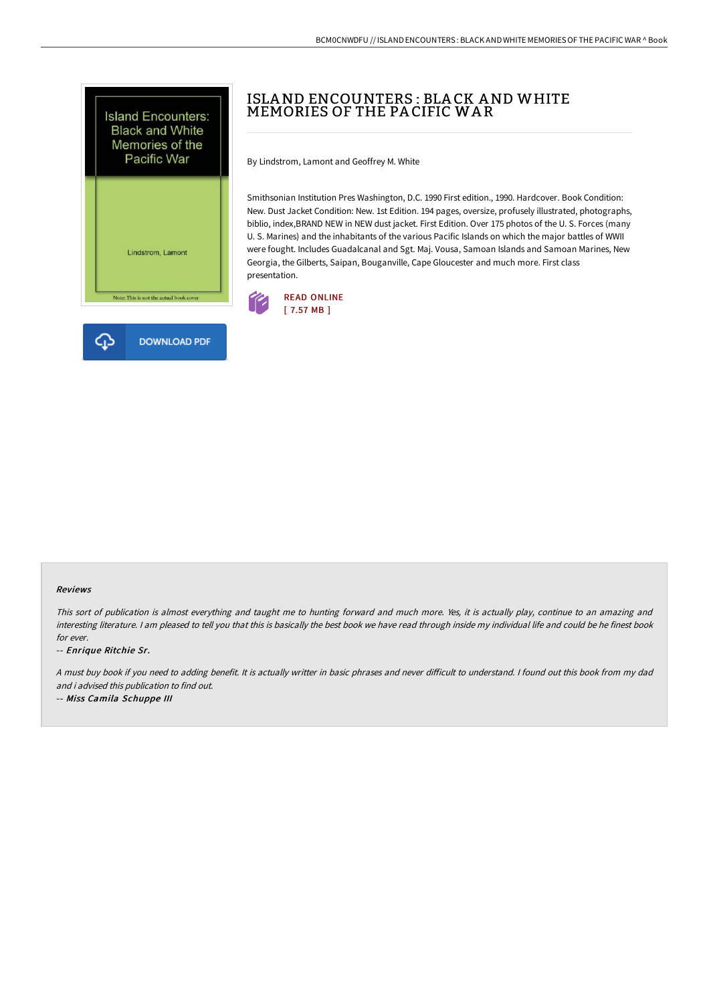

# ISLAND ENCOUNTERS : BLA CK AND WHITE MEMORIES OF THE PA CIFIC WA R

By Lindstrom, Lamont and Geoffrey M. White

Smithsonian Institution Pres Washington, D.C. 1990 First edition., 1990. Hardcover. Book Condition: New. Dust Jacket Condition: New. 1st Edition. 194 pages, oversize, profusely illustrated, photographs, biblio, index,BRAND NEW in NEW dust jacket. First Edition. Over 175 photos of the U. S. Forces (many U. S. Marines) and the inhabitants of the various Pacific Islands on which the major battles of WWII were fought. Includes Guadalcanal and Sgt. Maj. Vousa, Samoan Islands and Samoan Marines, New Georgia, the Gilberts, Saipan, Bouganville, Cape Gloucester and much more. First class presentation.



#### Reviews

This sort of publication is almost everything and taught me to hunting forward and much more. Yes, it is actually play, continue to an amazing and interesting literature. <sup>I</sup> am pleased to tell you that this is basically the best book we have read through inside my individual life and could be he finest book for ever.

-- Enrique Ritchie Sr.

A must buy book if you need to adding benefit. It is actually writter in basic phrases and never difficult to understand. I found out this book from my dad and i advised this publication to find out.

-- Miss Camila Schuppe III